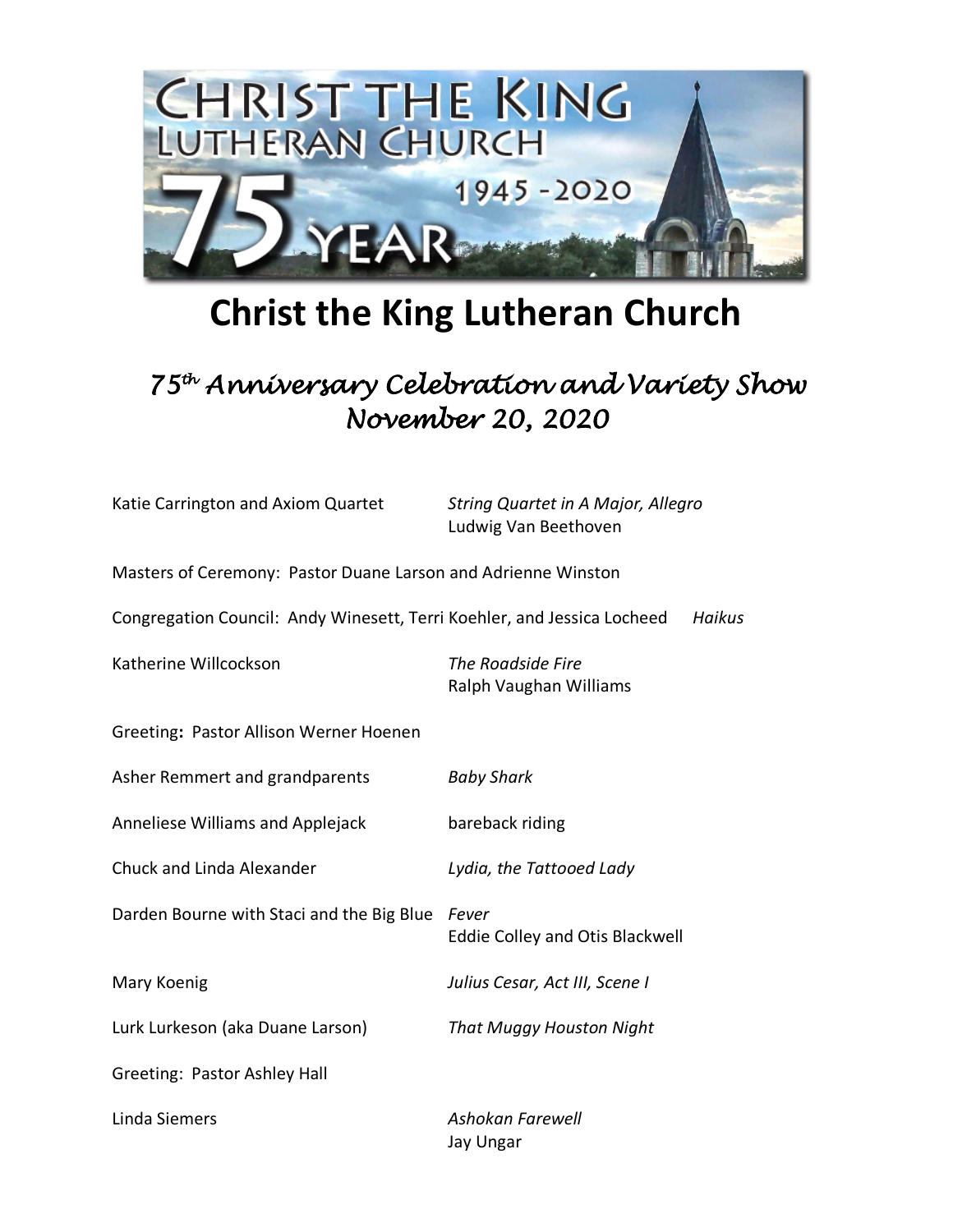

## **Christ the King Lutheran Church**

## *75th Anniversary Celebration and Variety Show November 20, 2020*

| Katie Carrington and Axiom Quartet | String Quartet in A Major, Allegro |
|------------------------------------|------------------------------------|
|                                    | Ludwig Van Beethoven               |

Masters of Ceremony: Pastor Duane Larson and Adrienne Winston Congregation Council: Andy Winesett, Terri Koehler, and Jessica Locheed *Haikus* Katherine Willcockson *The Roadside Fire*  Ralph Vaughan Williams

Greeting**:** Pastor Allison Werner Hoenen

| Asher Remmert and grandparents            | <b>Baby Shark</b>                        |
|-------------------------------------------|------------------------------------------|
| Anneliese Williams and Applejack          | bareback riding                          |
| Chuck and Linda Alexander                 | Lydia, the Tattooed Lady                 |
| Darden Bourne with Staci and the Big Blue | Fever<br>Eddie Colley and Otis Blackwell |
| Mary Koenig                               | Julius Cesar, Act III, Scene I           |
| Lurk Lurkeson (aka Duane Larson)          | That Muggy Houston Night                 |
| Greeting: Pastor Ashley Hall              |                                          |
| Linda Siemers                             | Ashokan Farewell                         |

Jay Ungar